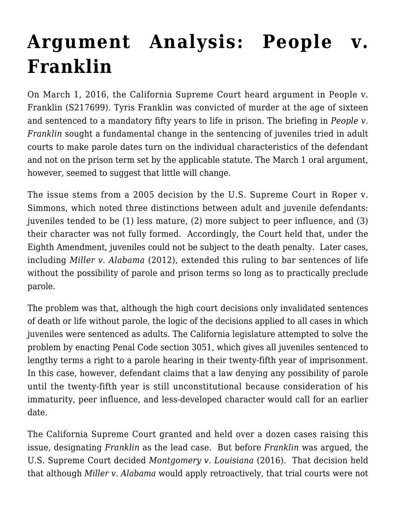## **[Argument Analysis: People v.](https://scocablog.com/argument-analysis-people-v-franklin/) [Franklin](https://scocablog.com/argument-analysis-people-v-franklin/)**

On March 1, 2016, the California Supreme Court heard argument in People v. Franklin (S217699). Tyris Franklin was convicted of murder at the age of sixteen and sentenced to a mandatory fifty years to life in prison. The briefing in *[People v.](http://www.courts.ca.gov/34295.htm) [Franklin](http://www.courts.ca.gov/34295.htm)* sought a fundamental change in the sentencing of juveniles tried in adult courts to make parole dates turn on the individual characteristics of the defendant and not on the prison term set by the applicable statute. The March 1 oral argument, however, seemed to suggest that little will change.

The issue stems from a 2005 decision by the U.S. Supreme Court in [Roper v.](http://caselaw.findlaw.com/us-supreme-court/543/551.html) [Simmons,](http://caselaw.findlaw.com/us-supreme-court/543/551.html) which noted three distinctions between adult and juvenile defendants: juveniles tended to be (1) less mature, (2) more subject to peer influence, and (3) their character was not fully formed. Accordingly, the Court held that, under the [Eighth Amendment](https://www.law.cornell.edu/constitution/eighth_amendment), juveniles could not be subject to the death penalty. Later cases, including *[Miller v. Alabama](http://www.supremecourt.gov/opinions/11pdf/10-9646g2i8.pdf)* (2012), extended this ruling to bar sentences of life without the possibility of parole and prison terms so long as to practically preclude parole.

The problem was that, although the high court decisions only invalidated sentences of death or life without parole, the logic of the decisions applied to all cases in which juveniles were sentenced as adults. The California legislature attempted to solve the problem by enacting [Penal Code section 3051,](http://law.onecle.com/california/penal/3051.html) which gives all juveniles sentenced to lengthy terms a right to a parole hearing in their twenty-fifth year of imprisonment. In this case, however, defendant claims that a law denying any possibility of parole until the twenty-fifth year is still unconstitutional because consideration of his immaturity, peer influence, and less-developed character would call for an earlier date.

The California Supreme Court granted and held over a dozen cases raising this issue, designating *Franklin* as the lead case. But before *Franklin* was argued, the U.S. Supreme Court decided *[Montgomery v. Louisiana](http://www.supremecourt.gov/opinions/15pdf/14-280_3204.pdf)* (2016). That decision held that although *Miller v. Alabama* would apply retroactively, that trial courts were not